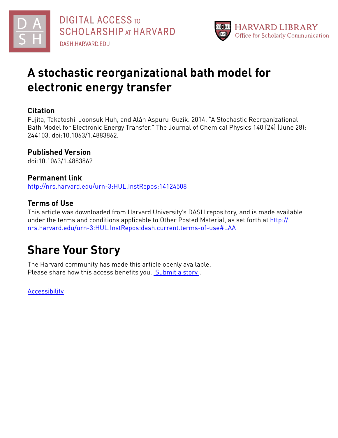



# **A stochastic reorganizational bath model for electronic energy transfer**

### **Citation**

Fujita, Takatoshi, Joonsuk Huh, and Alán Aspuru-Guzik. 2014. "A Stochastic Reorganizational Bath Model for Electronic Energy Transfer." The Journal of Chemical Physics 140 (24) (June 28): 244103. doi:10.1063/1.4883862.

# **Published Version**

doi:10.1063/1.4883862

## **Permanent link**

<http://nrs.harvard.edu/urn-3:HUL.InstRepos:14124508>

# **Terms of Use**

This article was downloaded from Harvard University's DASH repository, and is made available under the terms and conditions applicable to Other Posted Material, as set forth at [http://](http://nrs.harvard.edu/urn-3:HUL.InstRepos:dash.current.terms-of-use#LAA) [nrs.harvard.edu/urn-3:HUL.InstRepos:dash.current.terms-of-use#LAA](http://nrs.harvard.edu/urn-3:HUL.InstRepos:dash.current.terms-of-use#LAA)

# **Share Your Story**

The Harvard community has made this article openly available. Please share how this access benefits you. [Submit](http://osc.hul.harvard.edu/dash/open-access-feedback?handle=&title=A%20stochastic%20reorganizational%20bath%20model%20for%20electronic%20energy%20transfer&community=1/1&collection=1/2&owningCollection1/2&harvardAuthors=48d539594223217beb393a1f0789aeb3&departmentChemistry%20and%20Chemical%20Biology) a story .

**[Accessibility](https://dash.harvard.edu/pages/accessibility)**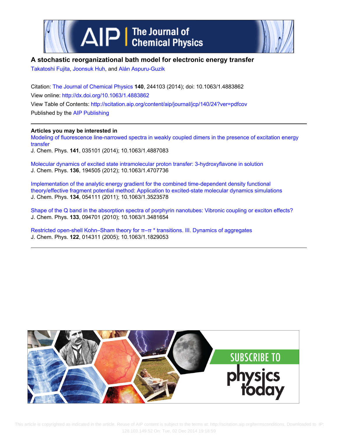

### **A stochastic reorganizational bath model for electronic energy transfer**

[Takatoshi Fujita,](http://scitation.aip.org/search?value1=Takatoshi+Fujita&option1=author) [Joonsuk Huh](http://scitation.aip.org/search?value1=Joonsuk+Huh&option1=author), and [Alán Aspuru-Guzik](http://scitation.aip.org/search?value1=Al�n+Aspuru-Guzik&option1=author)

Citation: [The Journal of Chemical Physics](http://scitation.aip.org/content/aip/journal/jcp?ver=pdfcov) **140**, 244103 (2014); doi: 10.1063/1.4883862 View online: <http://dx.doi.org/10.1063/1.4883862> View Table of Contents: <http://scitation.aip.org/content/aip/journal/jcp/140/24?ver=pdfcov> Published by the [AIP Publishing](http://scitation.aip.org/content/aip?ver=pdfcov)

### **Articles you may be interested in**

[Modeling of fluorescence line-narrowed spectra in weakly coupled dimers in the presence of excitation energy](http://scitation.aip.org/content/aip/journal/jcp/141/3/10.1063/1.4887083?ver=pdfcov) [transfer](http://scitation.aip.org/content/aip/journal/jcp/141/3/10.1063/1.4887083?ver=pdfcov)

J. Chem. Phys. **141**, 035101 (2014); 10.1063/1.4887083

[Molecular dynamics of excited state intramolecular proton transfer: 3-hydroxyflavone in solution](http://scitation.aip.org/content/aip/journal/jcp/136/19/10.1063/1.4707736?ver=pdfcov) J. Chem. Phys. **136**, 194505 (2012); 10.1063/1.4707736

[Implementation of the analytic energy gradient for the combined time-dependent density functional](http://scitation.aip.org/content/aip/journal/jcp/134/5/10.1063/1.3523578?ver=pdfcov) [theory/effective fragment potential method: Application to excited-state molecular dynamics simulations](http://scitation.aip.org/content/aip/journal/jcp/134/5/10.1063/1.3523578?ver=pdfcov) J. Chem. Phys. **134**, 054111 (2011); 10.1063/1.3523578

[Shape of the Q band in the absorption spectra of porphyrin nanotubes: Vibronic coupling or exciton effects?](http://scitation.aip.org/content/aip/journal/jcp/133/9/10.1063/1.3481654?ver=pdfcov) J. Chem. Phys. **133**, 094701 (2010); 10.1063/1.3481654

[Restricted open-shell Kohn–Sham theory for π–π \\* transitions. III. Dynamics of aggregates](http://scitation.aip.org/content/aip/journal/jcp/122/1/10.1063/1.1829053?ver=pdfcov) J. Chem. Phys. **122**, 014311 (2005); 10.1063/1.1829053



 This article is copyrighted as indicated in the article. Reuse of AIP content is subject to the terms at: http://scitation.aip.org/termsconditions. Downloaded to IP: 128.103.149.52 On: Tue, 02 Dec 2014 19:18:59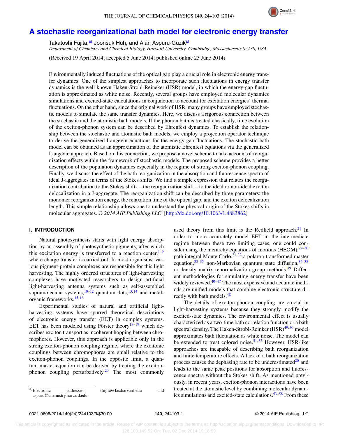

### **[A stochastic reorganizational bath model for electronic energy transfer](http://dx.doi.org/10.1063/1.4883862)**

Takatoshi Fujita,<sup>[a\)](#page-2-0)</sup> Joonsuk Huh, and Alán Aspuru-Guzik<sup>a)</sup> *Department of Chemistry and Chemical Biology, Harvard University, Cambridge, Massachusetts 02138, USA*

(Received 19 April 2014; accepted 5 June 2014; published online 23 June 2014)

Environmentally induced fluctuations of the optical gap play a crucial role in electronic energy transfer dynamics. One of the simplest approaches to incorporate such fluctuations in energy transfer dynamics is the well known Haken-Strobl-Reineker (HSR) model, in which the energy-gap fluctuation is approximated as white noise. Recently, several groups have employed molecular dynamics simulations and excited-state calculations in conjunction to account for excitation energies' thermal fluctuations. On the other hand, since the original work of HSR, many groups have employed stochastic models to simulate the same transfer dynamics. Here, we discuss a rigorous connection between the stochastic and the atomistic bath models. If the phonon bath is treated classically, time evolution of the exciton-phonon system can be described by Ehrenfest dynamics. To establish the relationship between the stochastic and atomistic bath models, we employ a projection operator technique to derive the generalized Langevin equations for the energy-gap fluctuations. The stochastic bath model can be obtained as an approximation of the atomistic Ehrenfest equations via the generalized Langevin approach. Based on this connection, we propose a novel scheme to take account of reorganization effects within the framework of stochastic models. The proposed scheme provides a better description of the population dynamics especially in the regime of strong exciton-phonon coupling. Finally, we discuss the effect of the bath reorganization in the absorption and fluorescence spectra of ideal J-aggregates in terms of the Stokes shifts. We find a simple expression that relates the reorganization contribution to the Stokes shifts – the reorganization shift – to the ideal or non-ideal exciton delocalization in a J-aggregate. The reorganization shift can be described by three parameters: the monomer reorganization energy, the relaxation time of the optical gap, and the exciton delocalization length. This simple relationship allows one to understand the physical origin of the Stokes shifts in molecular aggregates. *© 2014 AIP Publishing LLC*. [\[http://dx.doi.org/10.1063/1.4883862\]](http://dx.doi.org/10.1063/1.4883862)

#### **I. INTRODUCTION**

Natural photosynthesis starts with light energy absorption by an assembly of photosynthetic pigments, after which this excitation energy is transferred to a reaction center,  $1-9$  $1-9$ where charge transfer is carried out. In most organisms, various pigment-protein complexes are responsible for this light harvesting. The highly ordered structures of light-harvesting complexes have motivated researchers to design artificial light-harvesting antenna systems such as self-assembled supramolecular systems,  $10-\dot{12}$  $10-\dot{12}$  quantum dots,  $13, 14$  $13, 14$  $13, 14$  and metalorganic frameworks.[15,](#page-9-6) [16](#page-9-7)

Experimental studies of natural and artificial lightharvesting systems have spurred theoretical descriptions of electronic energy transfer (EET) in complex systems. EET has been modeled using Förster theory $17-19$  $17-19$  which describes exciton transport as incoherent hopping between chromophores. However, this approach is applicable only in the strong exciton-phonon coupling regime, where the excitonic couplings between chromophores are small relative to the exciton-phonon couplings. In the opposite limit, a quantum master equation can be derived by treating the excitonphonon coupling perturbatively.<sup>20</sup> The most commonly used theory from this limit is the Redfield approach.<sup>21</sup> In order to more accurately model EET in the intermediate regime between these two limiting cases, one could consider using the hierarchy equations of motions  $(HEOM)$ ,  $^{22-30}$  $^{22-30}$  $^{22-30}$ path integral Monte Carlo,  $31, 32$  $31, 32$  a polaron-transformed master equation,  $33-35$  $33-35$  non-Markovian quantum state diffusion,  $36-38$  $36-38$ or density matrix renormalization group methods.<sup>39</sup> Different methodologies for simulating energy transfer have been widely reviewed. $40-47$  The most expensive and accurate methods are unified models that combine electronic structure directly with bath models.<sup>48</sup>

The details of exciton-phonon coupling are crucial in light-harvesting systems because they strongly modify the excited-state dynamics. The environmental effect is usually characterized as a two-time bath correlation function or a bath spectral density. The Haken-Strobl-Reinker  $(HSR)^{49,50}$  $(HSR)^{49,50}$  $(HSR)^{49,50}$  model approximates bath fluctuation as white noise. The model can be extended to treat colored noise.<sup>[51,](#page-10-4)[52](#page-10-5)</sup> However, HSR-like approaches are incapable of describing bath reorganization and finite temperature effects. A lack of a bath reorganization process causes the dephasing rate to be underestimated $20$  and leads to the same peak positions for absorption and fluorescence spectra without the Stokes shift. As mentioned previously, in recent years, exciton-phonon interactions have been treated at the atomistic level by combining molecular dynamics simulations and excited-state calculations. $53-58$  From these

<span id="page-2-0"></span>a)Electronic addresses: [tfujita@fas.harvard.edu](mailto: tfujita@fas.harvard.edu) and [aspuru@chemistry.harvard.edu](mailto: aspuru@chemistry.harvard.edu)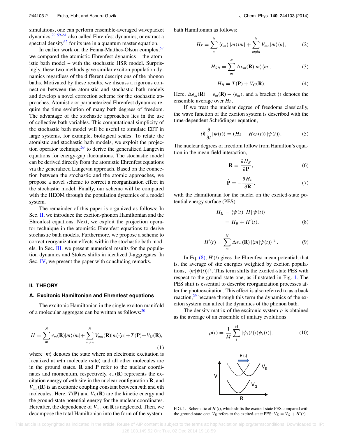simulations, one can perform ensemble-averaged wavepacket dynamics,<sup>29,[59–](#page-10-8)[61](#page-10-9)</sup> also called Ehrenfest dynamics, or extract a spectral density<sup>62</sup> for its use in a quantum master equation.

In earlier work on the Fenna-Matthes-Olson complex,  $57$ we compared the atomistic Ehrenfest dynamics – the atomistic bath model – with the stochastic HSR model. Surprisingly, these two methods gave similar exciton population dynamics regardless of the different descriptions of the phonon baths. Motivated by these results, we discuss a rigorous connection between the atomistic and stochastic bath models and develop a novel correction scheme for the stochastic approaches. Atomistic or parameterized Ehrenfest dynamics require the time evolution of many bath degrees of freedom. The advantage of the stochastic approaches lies in the use of collective bath variables. This computational simplicity of the stochastic bath model will be useful to simulate EET in large systems, for example, biological scales. To relate the atomistic and stochastic bath models, we exploit the projection operator technique<sup>63</sup> to derive the generalized Langevin equations for energy-gap fluctuations. The stochastic model can be derived directly from the atomistic Ehrenfest equations via the generalized Langevin approach. Based on the connection between the stochastic and the atomic approaches, we propose a novel scheme to correct a reorganization effect in the stochastic model. Finally, our scheme will be compared with the HEOM through the population dynamics of a model system.

The remainder of this paper is organized as follows: In Sec. [II,](#page-3-0) we introduce the exciton-phonon Hamiltonian and the Ehrenfest equations. Next, we exploit the projection operator technique in the atomistic Ehrenfest equations to derive stochastic bath models. Furthermore, we propose a scheme to correct reorganization effects within the stochastic bath models. In Sec. [III,](#page-6-0) we present numerical results for the population dynamics and Stokes shifts in idealized J-aggregates. In Sec. [IV,](#page-9-23) we present the paper with concluding remarks.

#### <span id="page-3-0"></span>**II. THEORY**

#### **A. Excitonic Hamiltonian and Ehrenfest equations**

The excitonic Hamiltonian in the single exciton manifold of a molecular aggregate can be written as follows: $20$ 

$$
H = \sum_{m}^{N} \epsilon_m(\mathbf{R}) |m\rangle \langle m| + \sum_{m \neq n}^{N} V_{mn}(\mathbf{R}) |m\rangle \langle n| + T(\mathbf{P}) + V_G(\mathbf{R}),
$$
\n(1)

where  $|m\rangle$  denotes the state where an electronic excitation is localized at *m*th molecule (site) and all other molecules are in the ground states. **R** and **P** refer to the nuclear coordinates and momentum, respectively.  $\epsilon_m(\mathbf{R})$  represents the excitation energy of *m*th site in the nuclear configuration **R**, and *Vmn*(**R**) is an excitonic coupling constant between *m*th and *n*th molecules. Here,  $T(\mathbf{P})$  and  $V_G(\mathbf{R})$  are the kinetic energy and the ground-state potential energy for the nuclear coordinates. Hereafter, the dependence of  $V_{mn}$  on  $\bf{R}$  is neglected. Then, we decompose the total Hamiltonian into the form of the systembath Hamiltonian as follows:

$$
H_S = \sum_{m}^{N} \langle \epsilon_m \rangle |m\rangle \langle m| + \sum_{m \neq n}^{N} V_{mn} |m\rangle \langle n|, \tag{2}
$$

$$
H_{SB} = \sum_{m}^{N} \Delta \epsilon_m(\mathbf{R}) |m\rangle \langle m|, \tag{3}
$$

$$
H_B = T(\mathbf{P}) + V_G(\mathbf{R}).\tag{4}
$$

Here,  $\Delta \epsilon_m(\mathbf{R}) = \epsilon_m(\mathbf{R}) - \langle \epsilon_m \rangle$ , and a bracket  $\langle \rangle$  denotes the ensemble average over  $H_B$ .

If we treat the nuclear degree of freedoms classically, the wave function of the exciton system is described with the time-dependent Schrödinger equation,

$$
i\hbar \frac{\partial}{\partial t} |\psi(t)\rangle = (H_S + H_{SB}(t)) |\psi(t)\rangle.
$$
 (5)

The nuclear degrees of freedom follow from Hamilton's equation in the mean-field interaction,

<span id="page-3-3"></span>
$$
\dot{\mathbf{R}} = \frac{\partial H_E}{\partial \mathbf{P}},\tag{6}
$$

<span id="page-3-1"></span>
$$
\dot{\mathbf{P}} = -\frac{\partial H_E}{\partial \mathbf{R}},\tag{7}
$$

with the Hamiltonian for the nuclei on the excited-state potential energy surface (PES)

$$
H_E = \langle \psi(t) | H | \psi(t) \rangle
$$
  
=  $H_B + H'(t)$ , (8)

$$
H'(t) = \sum_{m}^{N} \Delta \epsilon_m(\mathbf{R}) |\langle m | \psi(t) \rangle|^2.
$$
 (9)

In Eq.  $(8)$ ,  $H'(t)$  gives the Ehrenfest mean potential; that is, the average of site energies weighted by exciton populations,  $|\langle m|\psi(t)\rangle|^2$ . This term shifts the excited-state PES with respect to the ground-state one, as illustrated in Fig. [1.](#page-3-2) The PES shift is essential to describe reorganization processes after the photoexcitation. This effect is also referred to as a back reaction,<sup>[29](#page-9-22)</sup> because through this term the dynamics of the exciton system can affect the dynamics of the phonon bath.

The density matrix of the excitonic system  $\rho$  is obtained as the average of an ensemble of unitary evolutions

<span id="page-3-4"></span>
$$
\rho(t) = \frac{1}{M} \sum_{i}^{M} |\psi_i(t)\rangle \langle \psi_i(t)|.
$$
 (10)

<span id="page-3-2"></span>

FIG. 1. Schematic of  $H'(t)$ , which shifts the excited-state PES compared with the ground-state one.  $V_E$  refers to the excited-state PES:  $V_E = V_G + H'(t)$ .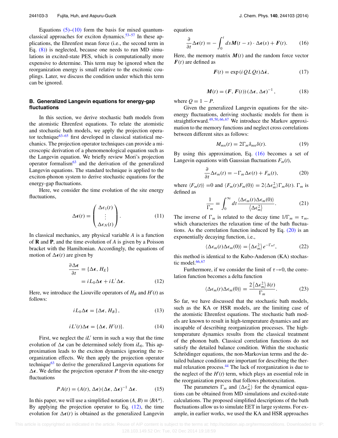Equations  $(5)$ – $(10)$  form the basis for mixed quantumclassical approaches for exciton dynamics. $53-57$  $53-57$  In these applications, the Ehrenfest mean force (i.e., the second term in Eq.  $(8)$ ) is neglected, because one needs to run MD simulations in excited-state PES, which is computationally more expensive to determine. This term may be ignored when the reorganization energy is small relative to the excitonic couplings. Later, we discuss the condition under which this term can be ignored.

#### **B. Generalized Langevin equations for energy-gap fluctuations**

In this section, we derive stochastic bath models from the atomistic Ehrenfest equations. To relate the atomistic and stochastic bath models, we apply the projection operator technique $63-65$  first developed in classical statistical mechanics. The projection operator techniques can provide a microscopic derivation of a phenomenological equation such as the Langevin equation. We briefly review Mori's projection operator formalism<sup>[63](#page-10-12)</sup> and the derivation of the generalized Langevin equations. The standard technique is applied to the exciton-phonon system to derive stochastic equations for the energy-gap fluctuations.

Here, we consider the time evolution of the site energy fluctuations,

$$
\Delta \epsilon(t) = \begin{pmatrix} \Delta \epsilon_1(t) \\ \vdots \\ \Delta \epsilon_N(t) \end{pmatrix} . \tag{11}
$$

In classical mechanics, any physical variable *A* is a function of **R** and **P**, and the time evolution of *A* is given by a Poisson bracket with the Hamiltonian. Accordingly, the equations of motion of  $\Delta \epsilon(t)$  are given by

<span id="page-4-0"></span>
$$
\frac{\partial \Delta \epsilon}{\partial t} = \{ \Delta \epsilon, H_E \}
$$
  
=  $i L_0 \Delta \epsilon + i L' \Delta \epsilon$ . (12)

Here, we introduce the Liouville operators of  $H_B$  and  $H'(t)$  as follows:

$$
iL_0\Delta\epsilon = {\Delta\epsilon, H_B}, \qquad (13)
$$

$$
iL'(t)\Delta\epsilon = {\Delta\epsilon, H'(t)}.
$$
 (14)

First, we neglect the  $iL'$  term in such a way that the time evolution of  $\Delta \epsilon$  can be determined solely from *iL*<sub>0</sub>. This approximation leads to the exciton dynamics ignoring the reorganization effects. We then apply the projection operator technique<sup>63</sup> to derive the generalized Langevin equations for  $\Delta \epsilon$ . We define the projection operator *P* from the site-energy fluctuations

$$
PA(t) = (A(t), \Delta \epsilon) (\Delta \epsilon, \Delta \epsilon)^{-1} \Delta \epsilon.
$$
 (15)

In this paper, we will use a simplified notation  $(A, B) \equiv \langle BA^* \rangle$ . By applying the projection operator to Eq.  $(12)$ , the time evolution for  $\Delta \epsilon(t)$  is obtained as the generalized Langevin equation

<span id="page-4-1"></span>
$$
\frac{\partial}{\partial t}\Delta \epsilon(t) = -\int_0^t ds M(t-s) \cdot \Delta \epsilon(s) + F(t). \tag{16}
$$

Here, the memory matrix  $M(t)$  and the random force vector  $F(t)$  are defined as

$$
F(t) = \exp(iQLQt)\Delta\dot{\epsilon},\qquad(17)
$$

$$
M(t) = (F, F(t)) (\Delta \epsilon, \Delta \epsilon)^{-1}, \qquad (18)
$$

where  $Q = 1 - P$ .

Given the generalized Langevin equations for the siteenergy fluctuations, deriving stochastic models for them is straightforward. $49,50,66,67$  $49,50,66,67$  $49,50,66,67$  $49,50,66,67$  We introduce the Markov approximation to the memory functions and neglect cross correlations between different sites as follows:

<span id="page-4-3"></span><span id="page-4-2"></span>
$$
M_{mn}(t) = 2\Gamma_m \delta_{mn} \delta(t). \tag{19}
$$

By using this approximation, Eq. [\(16\)](#page-4-1) becomes a set of Langevin equations with Gaussian fluctuations  $F_m(t)$ ,

$$
\frac{\partial}{\partial t}\Delta \epsilon_m(t) = -\Gamma_m \Delta \epsilon(t) + F_m(t),\tag{20}
$$

where  $\langle F_m(t) \rangle = 0$  and  $\langle F_m(t) F_m(0) \rangle = 2 \langle \Delta \epsilon_m^2 \rangle \Gamma_m \delta(t)$ .  $\Gamma_m$  is defined as

$$
\frac{1}{\Gamma_m} = \int_0^\infty dt \, \frac{\langle \Delta \epsilon_m(t) \Delta \epsilon_m(0) \rangle}{\langle \Delta \epsilon_m^2 \rangle}.
$$
 (21)

The inverse of  $\Gamma_m$  is related to the decay time  $1/\Gamma_m = \tau_m$ , which characterizes the relaxation time of the bath fluctuations. As the correlation function induced by Eq.  $(20)$  is an exponentially decaying function, i.e.,

<span id="page-4-4"></span>
$$
\langle \Delta \epsilon_m(t) \Delta \epsilon_m(0) \rangle = \langle \Delta \epsilon_m^2 \rangle e^{-\Gamma_m t}, \tag{22}
$$

this method is identical to the Kubo-Anderson (KA) stochastic model. $66, 67$  $66, 67$  $66, 67$ 

Furthermore, if we consider the limit of  $\tau \rightarrow 0$ , the correlation function becomes a delta function

$$
\langle \Delta \epsilon_m(t) \Delta \epsilon_m(0) \rangle = \frac{2 \langle \Delta \epsilon_m^2 \rangle \delta(t)}{\Gamma_m}.
$$
 (23)

So far, we have discussed that the stochastic bath models, such as the KA or HSR models, are the limiting case of the atomistic Ehrenfest equations. The stochastic bath models are known to result in high-temperature dynamics and are incapable of describing reorganization processes. The hightemperature dynamics results from the classical treatment of the phonon bath. Classical correlation functions do not satisfy the detailed balance condition. Within the stochastic Schrödinger equations, the non-Markovian terms and the detailed balance condition are important for describing the thermal relaxation process.<sup>44</sup> The lack of reorganization is due to the neglect of the  $H'(t)$  term, which plays an essential role in the reorganization process that follows photoexcitation.

The parameters  $\Gamma_m$  and  $\langle \Delta \epsilon_m^2 \rangle$  for the dynamical equations can be obtained from MD simulations and excited-state calculations. The proposed simplified descriptions of the bath fluctuations allow us to simulate EET in large systems. For example, in earlier works, we used the KA and HSR approaches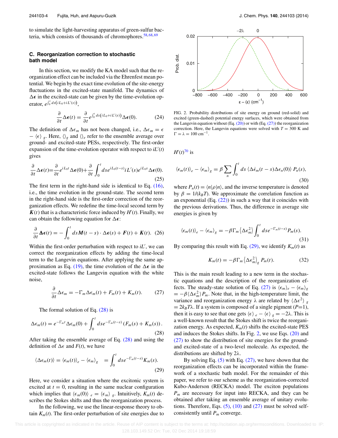to simulate the light-harvesting apparatus of green-sulfur bacteria, which consists of thousands of chromophores.  $58, 68, 69$  $58, 68, 69$  $58, 68, 69$  $58, 68, 69$  $58, 68, 69$ 

#### **C. Reorganization correction to stochastic bath model**

In this section, we modify the KA model such that the reorganization effect can be included via the Ehrenfest mean potential. We begin by the exact time evolution of the site-energy fluctuations in the excited-state manifold. The dynamics of  $\Delta \epsilon$  in the excited-state can be given by the time-evolution operator,  $e^{\int_0^t ds (iL_0+iL'(s))}$ ,

$$
\frac{\partial}{\partial t} \Delta \epsilon(t) = \frac{\partial}{\partial t} e^{\int_0^t ds (iL_0 + iL'(s))} \Delta \epsilon(0).
$$
 (24)

The definition of  $\Delta \epsilon_m$  has not been changed, i.e.,  $\Delta \epsilon_m = \epsilon$  $\langle \epsilon \rangle$  g. Here,  $\langle \rangle_g$  and  $\langle \rangle_e$  refer to the ensemble average over ground- and excited-state PESs, respectively. The first-order expansion of the time-evolution operator with respect to  $iL'(t)$ gives

$$
\frac{\partial}{\partial t} \Delta \epsilon(t) = \frac{\partial}{\partial t} e^{iL_0 t} \Delta \epsilon(0) + \frac{\partial}{\partial t} \int_0^t ds e^{iL_0(t-s)} i L'(s) e^{iL_0 s} \Delta \epsilon(0).
$$
\n(25)

The first term in the right-hand side is identical to Eq. [\(16\),](#page-4-1) i.e., the time evolution in the ground-state. The second term in the right-hand side is the first-order correction of the reorganization effects. We redefine the time-local second term by  $K(t)$  that is a characteristic force induced by  $H'(t)$ . Finally, we can obtain the following equation for  $\Delta \epsilon$ :

$$
\frac{\partial}{\partial t} \Delta \epsilon(t) = -\int_0^t ds M(t-s) \cdot \Delta \epsilon(s) + F(t) + K(t). \tag{26}
$$

Within the first-order perturbation with respect to *iL* , we can correct the reorganization effects by adding the time-local term to the Langevin equations. After applying the same ap-proximation as Eq. [\(19\),](#page-4-3) the time evolution of the  $\Delta \epsilon$  in the excited-state follows the Langevin equation with the white noise,

<span id="page-5-1"></span><span id="page-5-0"></span>
$$
\frac{\partial}{\partial t}\Delta \epsilon_m = -\Gamma_m \Delta \epsilon_m(t) + F_m(t) + K_m(t). \tag{27}
$$

The formal solution of Eq. [\(28\)](#page-5-0) is

$$
\Delta \epsilon_m(t) = e^{-\Gamma_m t} \Delta \epsilon_m(0) + \int_0^t ds e^{-\Gamma_m(t-s)} \left( F_m(s) + K_m(s) \right). \tag{28}
$$

After taking the ensemble average of Eq. [\(28\)](#page-5-0) and using the definition of  $\Delta \epsilon$  and  $F(t)$ , we have

$$
\langle \Delta \epsilon_m(t) \rangle = \langle \epsilon_m(t) \rangle_e - \langle \epsilon_m \rangle_g = \int_0^t ds e^{-\Gamma_m(t-s)} K_m(s).
$$
\n(29)

Here, we consider a situation where the excitonic system is excited at  $t = 0$ , resulting in the same nuclear configuration which implies that  $\langle \epsilon_m(0) \rangle_e = \langle \epsilon_m \rangle_g$ . Intuitively,  $K_m(t)$  describes the Stokes shifts and thus the reorganization process.

In the following, we use the linear-response theory to obtain  $K_m(t)$ . The first-order perturbation of site energies due to

<span id="page-5-3"></span>

FIG. 2. Probability distributions of site energy on ground (red-solid) and excited (green-dashed) potential energy surfaces, which were obtained from the Langevin equation without (Eq.  $(20)$ ) or with (Eq.  $(27)$ ) the reorganization correction. Here, the Langevin equations were solved with  $T = 300$  K and  $\Gamma = \lambda = 100 \; \text{cm}^{-1}.$ 

 $H'(t)$ <sup>[70](#page-10-18)</sup> is

$$
\langle \epsilon_m(t) \rangle_e - \langle \epsilon_m \rangle_g = \beta \sum_n \int_0^t ds \langle \Delta \dot{\epsilon}_m(t-s) \Delta \epsilon_n(0) \rangle P_n(s), \tag{30}
$$

where  $P_n(t) = \langle n | \rho | n \rangle$ , and the inverse temperature is denoted by  $\beta = 1/(k_B T)$ . We approximate the correlation function as an exponential  $(Eq. (22))$  $(Eq. (22))$  in such a way that it coincides with the previous derivations. Thus, the difference in average site energies is given by

$$
\langle \epsilon_m(t) \rangle_e - \langle \epsilon_m \rangle_g = -\beta \Gamma_m \langle \Delta \epsilon_m^2 \rangle \int_0^t ds e^{-\Gamma_m(t-s)} P_m(s).
$$
\n(31)

By comparing this result with Eq.  $(29)$ , we identify  $K_m(t)$  as

$$
K_m(t) = -\beta \Gamma_m \left\langle \Delta \epsilon_m^2 \right\rangle_g P_m(t). \tag{32}
$$

This is the main result leading to a new term in the stochastic equations and the description of the reorganization ef-fects. The steady-state solution of Eq. [\(27\)](#page-5-1) is  $\langle \epsilon_m \rangle_e - \langle \epsilon_m \rangle_g$  $= -\beta \langle \Delta \epsilon_m^2 \rangle P_m$ . Note that, in the high-temperature limit, the variance and reorganization energy  $\lambda$  are related by  $\langle \Delta \epsilon^2 \rangle_g$  $= 2k_B T\lambda$ . If a system is composed of a single pigment (*P*=1), then it is easy to see that one gets  $\langle \epsilon \rangle_e - \langle \epsilon \rangle_g = -2\lambda$ . This is a well-known result that the Stokes shift is twice the reorganization energy. As expected,  $K_m(t)$  shifts the excited-state PES and induces the Stokes shifts. In Fig. [2,](#page-5-3) we use Eqs. [\(20\)](#page-4-2) and [\(27\)](#page-5-1) to show the distribution of site energies for the groundand excited-state of a two-level molecule. As expected, the distributions are shifted by 2*λ*.

<span id="page-5-2"></span>By solving Eq.  $(5)$  with Eq.  $(27)$ , we have shown that the reorganization effects can be incorporated within the framework of a stochastic bath model. For the remainder of this paper, we refer to our scheme as the reorganization-corrected Kubo-Anderson (RECKA) model. The exciton populations *Pm* are necessary for input into RECKA, and they can be obtained after taking an ensemble average of unitary evolutions. Therefore, Eqs.  $(5)$ ,  $(10)$  and  $(27)$  must be solved selfconsistently until *Pm* converge.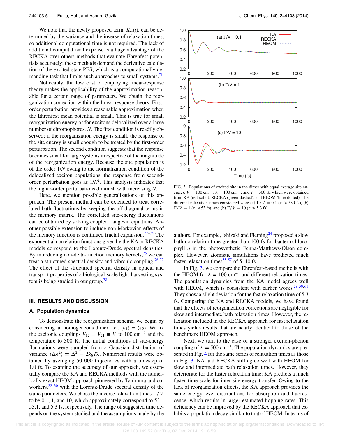We note that the newly proposed term,  $K_m(t)$ , can be determined by the variance and the inverse of relaxation times, so additional computational time is not required. The lack of additional computational expense is a huge advantage of the RECKA over others methods that evaluate Ehrenfest potentials accurately; these methods demand the derivative calculation of the excited-state PES, which is a computationally demanding task that limits such approaches to small systems.<sup>71</sup>

Noticeably, the low cost of employing linear-response theory makes the applicability of the approximation reasonable for a certain range of parameters. We obtain the reorganization correction within the linear response theory. Firstorder perturbation provides a reasonable approximation when the Ehrenfest mean potential is small. This is true for small reorganization energy or for excitons delocalized over a large number of chromophores, *N*. The first condition is readily observed; if the reorganization energy is small, the response of the site energy is small enough to be treated by the first-order perturbation. The second condition suggests that the response becomes small for large systems irrespective of the magnitude of the reorganization energy. Because the site population is of the order 1/*N* owing to the normalization condition of the delocalized exciton populations, the response from secondorder perturbation goes as  $1/N^2$ . This analysis indicates that the higher-order perturbations diminish with increasing *N*.

Here, we mention possible generalizations of this approach. The present method can be extended to treat correlated bath fluctuations by keeping the off-diagonal terms in the memory matrix. The correlated site-energy fluctuations can be obtained by solving coupled Langevin equations. Another possible extension to include non-Markovian effects of the memory function is continued fractal expansion.<sup>[72–](#page-10-20)[74](#page-10-21)</sup> The exponential correlation functions given by the KA or RECKA models correspond to the Lorentz-Drude spectral densities. By introducing non-delta-function memory kernels, $\frac{75}{15}$  we can treat a structured spectral density and vibronic coupling.<sup>[76,](#page-10-23)[77](#page-10-24)</sup> The effect of the structured spectral density in optical and transport properties of a biological-scale light-harvesting sys-tem is being studied in our group.<sup>[78](#page-10-25)</sup>

#### <span id="page-6-0"></span>**III. RESULTS AND DISCUSSION**

#### **A. Population dynamics**

To demonstrate the reorganization scheme, we begin by considering an homogeneous dimer, i.e.,  $\langle \epsilon_1 \rangle = \langle \epsilon_2 \rangle$ . We fix the excitonic couplings  $V_{12} = V_{21} \equiv V$  to 100 cm<sup>-1</sup> and the temperature to 300 K. The initial conditions of site-energy fluctuations were sampled from a Gaussian distribution of variance  $\langle \Delta \epsilon^2 \rangle \equiv \Delta^2 = 2k_B T \lambda$ . Numerical results were obtained by averaging 50 000 trajectories with a timestep of 1.0 fs. To examine the accuracy of our approach, we essentially compare the KA and RECKA methods with the numerically exact HEOM approach pioneered by Tanimura and coworkers. $22-30$  $22-30$  with the Lorentz-Drude spectral density of the same parameters. We chose the inverse relaxation times  $\Gamma/V$ to be 0.1, 1, and 10, which approximately correspond to 531, 53.1, and 5.3 fs, respectively. The range of suggested time depends on the system studied and the assumptions made by the

<span id="page-6-1"></span>

FIG. 3. Populations of excited site in the dimer with equal average site energies,  $V = 100 \text{ cm}^{-1}$ ,  $\lambda = 100 \text{ cm}^{-1}$ , and  $T = 300 \text{ K}$ , which were obtained from KA (red-solid), RECKA (green-dashed), and HEOM (blue-dotted). The different relaxation times considered were (a)  $\Gamma/V = 0.1$  ( $\tau \approx 530$  fs), (b)  $\Gamma/V = 1$  ( $\tau \approx 53$  fs), and (b)  $\Gamma/V = 10$  ( $\tau \approx 5.3$  fs).

authors. For example, Ishizaki and Fleming<sup>[24](#page-9-25)</sup> proposed a slow bath correlation time greater than 100 fs for bacteriochlorophyll *a* in the photosynthetic Fenna-Matthews-Olson complex. However, atomistic simulations have predicted much faster relaxation times<sup>[55,](#page-10-26) [57](#page-10-11)</sup> of 5–10 fs.

In Fig. [3,](#page-6-1) we compare the Ehrenfest-based methods with the HEOM for  $\lambda = 100 \text{ cm}^{-1}$  and different relaxation times. The population dynamics from the KA model agrees well with HEOM, which is consistent with earlier works. $29,59,61$  $29,59,61$  $29,59,61$ They show a slight deviation for the fast relaxation time of 5.3 fs. Comparing the KA and RECKA models, we have found that the effects of reorganization corrections are negligible for slow and intermediate bath relaxation times. However, the relaxation included in the RECKA approach for fast relaxation times yields results that are nearly identical to those of the benchmark HEOM approach.

Next, we turn to the case of a stronger exciton-phonon coupling of  $\lambda = 500$  cm<sup>-1</sup>. The population dynamics are presented in Fig. [4](#page-7-0) for the same series of relaxation times as those in Fig. [3.](#page-6-1) KA and RECKA still agree well with HEOM for slow and intermediate bath relaxation times. However, they deteriorate for the faster relaxation time: KA predicts a much faster time scale for inter-site energy transfer. Owing to the lack of reorganization effects, the KA approach provides the same energy-level distributions for absorption and fluorescence, which results in larger estimated hopping rates. This deficiency can be improved by the RECKA approach that exhibits a population decay similar to that of HEOM. In terms of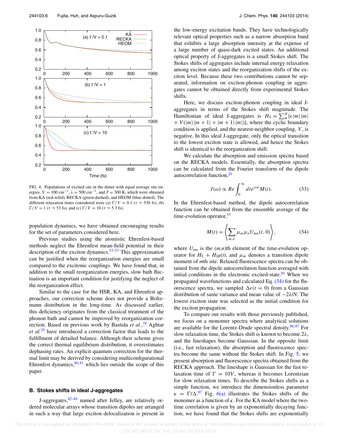<span id="page-7-0"></span>

FIG. 4. Populations of excited site in the dimer with equal average site energies,  $V = 100 \text{ cm}^{-1}$ ,  $\lambda = 500 \text{ cm}^{-1}$ , and  $T = 300 \text{ K}$ , which were obtained from KA (red-solid), RECKA (green-dashed), and HEOM (blue-dotted). The different relaxation times considered were (a)  $\Gamma/V = 0.1$  ( $\tau \approx 530$  fs), (b)  $\Gamma/V = 1$  ( $\tau \approx 53$  fs), and (c)  $\Gamma/V = 10$  ( $\tau \approx 5.3$  fs).

population dynamics, we have obtained encouraging results for the set of parameters considered here.

Previous studies using the atomistic Ehrenfest-based methods neglect the Ehrenfest mean-field potential in their description of the exciton dynamics.<sup>53–[57](#page-10-11)</sup> This approximation can be justified when the reorganization energies are small compared to the excitonic couplings. We have found that, in addition to the small reorganization energies, slow bath fluctuation is an important condition for justifying the neglect of the reorganization effect.

Similar to the case for the HSR, KA, and Ehrenfest approaches, our correction scheme does not provide a Boltzmann distribution in the long-time. As discussed earlier, this deficiency originates from the classical treatment of the phonon bath and cannot be improved by reorganization correction. Based on previous work by Bastida *et al.*, [79](#page-10-27) Aghtar *et al.*[29](#page-9-22) have introduced a correction factor that leads to the fulfillment of detailed balance. Although their scheme gives the correct thermal equilibrium distribution, it overestimates dephasing rates. An explicit quantum correction for the thermal limit may be derived by considering multiconfigurational Ehrenfest dynamics,  $80, 81$  $80, 81$  which lies outside the scope of this paper.

#### **B. Stokes shifts in ideal J-aggregates**

J-aggregates, $82-84$  named after Jelley, are relatively ordered molecular arrays whose transition dipoles are arranged in such a way that large exciton delocalization is present in the low-energy excitation bands. They have technologically relevant optical properties such as a narrow absorption band that exhibits a large absorption intensity at the expense of a large number of quasi-dark excited states. An additional optical property of J-aggregates is a small Stokes shift. The Stokes shifts of aggregates include internal energy relaxation among exciton states and the reorganization shifts of the exciton level. Because these two contributions cannot be separated, information on exciton-phonon coupling in aggregates cannot be obtained directly from experimental Stokes shifts.

Here, we discuss exciton-phonon coupling in ideal Jaggregates in terms of the Stokes shift magnitude. The Hamiltonian of ideal J-aggregates is  $H_S = \sum_{m=1}^{N} {\{\epsilon |m\}} \langle m|$  $+ V(|m\rangle\langle m+1| + |m+1\rangle\langle m|)$ , where the cyclic boundary condition is applied, and the nearest-neighbor coupling, *V* , is negative. In this ideal J-aggregate, only the optical transition to the lowest exciton state is allowed, and hence the Stokes shift is identical to the reorganization shift.

We calculate the absorption and emission spectra based on the RECKA models. Essentially, the absorption spectra can be calculated from the Fourier transform of the dipole autocorrelation function, $20$ 

$$
I(\omega) \propto Re \int_0^\infty dt e^{i\omega t} M(t).
$$
 (33)

In the Ehrenfest-based method, the dipole autocorrelation function can be obtained from the ensemble average of the time-evolution operator,  $53$ 

<span id="page-7-1"></span>
$$
M(t) = \left\langle \sum_{m,n} \mu_m \mu_n U_{mn}(t,0) \right\rangle, \tag{34}
$$

where  $U_{mn}$  is the  $(m,n)$ th element of the time-evolution operator for  $H_S + H_{SB}(t)$ , and  $\mu_m$  denotes a transition dipole moment of *m*th site. Relaxed fluorescence spectra can be obtained from the dipole autocorrelation function averaged with initial conditions in the electronic excited-state. $85$  When we propagated wavefunctions and calculated Eq. [\(34\)](#page-7-1) for the fluorescence spectra, we sampled  $\Delta \epsilon(t = 0)$  from a Gaussian distribution of same variance and mean value of −2*λ*/*N*. The lowest exciton state was selected as the initial condition for the exciton propagation.

To compare our results with those previously published, we focus on a monomer spectra where analytical solutions are available for the Lorentz-Drude spectral density. $86, 87$  $86, 87$  For slow relaxation time, the Stokes shift is known to become 2*λ*, and the lineshapes become Gaussian. In the opposite limit (i.e., fast relaxation), the absorption and fluorescence spectra become the same without the Stokes shift. In Fig. [5,](#page-8-0) we present absorption and fluorescence spectra obtained from the RECKA approach. The lineshape is Gaussian for the fast relaxation time of  $\Gamma = 10V$ , whereas it becomes Lorentzian for slow relaxation times. To describe the Stokes shifts as a simple function, we introduce the dimensionless parameter  $\kappa = \Gamma/\Delta$ .<sup>[87](#page-10-34)</sup> Fig. [6\(a\)](#page-8-1) illustrates the Stokes shifts of the monomer as a function of *κ*. For the KA model where the twotime correlation is given by an exponentially decaying function, we have found that the Stokes shifts are exponentially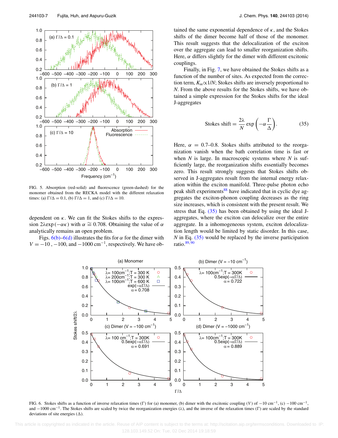<span id="page-8-0"></span>

FIG. 5. Absorption (red-solid) and fluorescence (green-dashed) for the monomer obtained from the RECKA model with the different relaxation times: (a)  $\Gamma/\Delta = 0.1$ , (b)  $\Gamma/\Delta = 1$ , and (c)  $\Gamma/\Delta = 10$ .

dependent on *κ*. We can fit the Stokes shifts to the expression  $2\lambda \exp(-\alpha \kappa)$  with  $\alpha \cong 0.708$ . Obtaining the value of  $\alpha$ analytically remains an open problem.

<span id="page-8-1"></span>Figs.  $6(b)$ –6(d) illustrates the fits for  $\alpha$  for the dimer with  $V = -10$ ,  $-100$ , and  $-1000$  cm<sup>-1</sup>, respectively. We have obtained the same exponential dependence of  $\kappa$ , and the Stokes shifts of the dimer become half of those of the monomer. This result suggests that the delocalization of the exciton over the aggregate can lead to smaller reorganization shifts. Here,  $\alpha$  differs slightly for the dimer with different excitonic couplings.

Finally, in Fig. [7,](#page-9-26) we have obtained the Stokes shifts as a function of the number of sites. As expected from the correction term,  $K_m \propto 1/N$ ; Stokes shifts are inversely proportional to *N*. From the above results for the Stokes shifts, we have obtained a simple expression for the Stokes shifts for the ideal J-aggregates

<span id="page-8-2"></span>
$$
\text{Stokes shift} = \frac{2\lambda}{N} \exp\left(-\alpha \frac{\Gamma}{\Delta}\right). \tag{35}
$$

Here,  $\alpha = 0.7{\text -}0.8$ . Stokes shifts attributed to the reorganization vanish when the bath correlation time is fast or when *N* is large. In macroscopic systems where *N* is sufficiently large, the reorganization shifts essentially becomes zero. This result strongly suggests that Stokes shifts observed in J-aggregates result from the internal energy relaxation within the exciton manifold. Three-pulse photon echo peak shift experiments<sup>88</sup> have indicated that in cyclic dye aggregates the exciton-phonon coupling decreases as the ring size increases, which is consistent with the present result. We stress that Eq. [\(35\)](#page-8-2) has been obtained by using the ideal Jaggregates, where the exciton can delocalize over the entire aggregate. In a inhomogeneous system, exciton delocalization length would be limited by static disorder. In this case, *N* in Eq. [\(35\)](#page-8-2) would be replaced by the inverse participation ratio. $89,90$  $89,90$ 



FIG. 6. Stokes shifts as a function of inverse relaxation times ( $\Gamma$ ) for (a) monomer, (b) dimer with the excitonic coupling (*V*) of  $-10 \text{ cm}^{-1}$ , (c)  $-100 \text{ cm}^{-1}$ , and  $-1000$  cm<sup>-1</sup>. The Stokes shifts are scaled by twice the reorganization energies (λ), and the inverse of the relaxation times (Γ) are scaled by the standard deviations of site energies  $(\Delta)$ .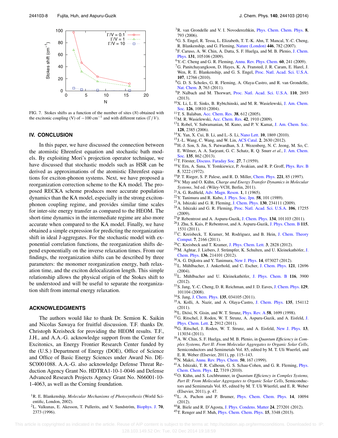<span id="page-9-26"></span>

FIG. 7. Stokes shifts as a function of the number of sites (*N*) obtained with the excitonic coupling (V) of  $-100 \text{ cm}^{-1}$  and with different ratios ( $\Gamma/V$ ).

#### <span id="page-9-23"></span>**IV. CONCLUSION**

In this paper, we have discussed the connection between the atomistic Ehrenfest equation and stochastic bath models. By exploiting Mori's projection operator technique, we have discussed that stochastic models such as HSR can be derived as approximations of the atomistic Ehrenfest equations for exciton-phonon systems. Next, we have proposed a reorganization correction scheme to the KA model. The proposed RECKA scheme produces more accurate population dynamics than the KA model, especially in the strong excitonphonon coupling regime, and provides similar time scales for inter-site energy transfer as compared to the HEOM. The short-time dynamics in the intermediate regime are also more accurate when compared to the KA model. Finally, we have obtained a simple expression for predicting the reorganization shift in ideal J-aggregates. For the stochastic model with exponential correlation functions, the reorganization shifts depend exponentially on the inverse relaxation times. From our findings, the reorganization shifts can be described by three parameters: the monomer reorganization energy, bath relaxation time, and the exciton delocalization length. This simple relationship allows the physical origin of the Stokes shift to be understood and will be useful to separate the reorganization shift from internal energy relaxation.

#### **ACKNOWLEDGMENTS**

The authors would like to thank Dr. Semion K. Saikin and Nicolas Sawaya for fruitful discussion. T.F. thanks Dr. Christoph Kreisbeck for providing the HEOM results. T.F., J.H., and A.A.-G. acknowledge support from the Center for Excitonics, an Energy Frontier Research Center funded by the (U.S.) Department of Energy (DOE), Office of Science and Office of Basic Energy Sciences under Award No. DE-SC0001088. A.A.-G. also acknowledge Defense Threat Reduction Agency Grant No. HDTRA1-10-1-0046 and Defense Advanced Research Projects Agency Grant No. N66001-10- 1-4063, as well as the Corning foundation.

- <span id="page-9-0"></span>1R. E. Blankenship, *Molecular Mechanisms of Photosynthesis* (World Scientific, London, 2002).
- 2L. Valkunas, E. Akesson, T. Pullerits, and V. Sundström, [Biophys. J.](http://dx.doi.org/10.1016/S0006-3495(96)79804-1) **70**, 2373 (1996).
- 3R. van Grondelle and V. I. Novoderezhkin, [Phys. Chem. Chem. Phys.](http://dx.doi.org/10.1039/b514032c) **8**, 793 (2006).
- <sup>4</sup>G. S. Engel, R. Tessa, L. Elizabeth, T. T.-K. Ahn, T. Mancal, Y.-C. Cheng, R. Blankenship, and G. Fleming, [Nature \(London\)](http://dx.doi.org/10.1038/nature05678) **446**, 782 (2007).
- <sup>5</sup>F. Caruso, A. W. Chin, A. Datta, S. F. Huelga, and M. B. Plenio, [J. Chem.](http://dx.doi.org/10.1063/1.3223548) [Phys.](http://dx.doi.org/10.1063/1.3223548) **131**, 105106 (2009).
- 6Y.-C. Cheng and G. R. Fleming, [Annu. Rev. Phys. Chem.](http://dx.doi.org/10.1146/annurev.physchem.040808.090259) **60**, 241 (2009).
- <sup>7</sup>G. Panitchayangkoon, D. Hayes, K. A. Fransted, J. R. Caram, E. Harel, J. Wen, R. E. Blankenship, and G. S. Engel, [Proc. Natl. Acad. Sci. U.S.A.](http://dx.doi.org/10.1073/pnas.1005484107) **107**, 12766 (2010).
- 8G. D. S. Scholes, G. R. Fleming, A. Olaya-Castro, and R. van Grondelle, [Nat. Chem.](http://dx.doi.org/10.1038/nchem.1145) **3**, 763 (2011).
- <span id="page-9-1"></span>9P. Nalbach and M. Thorwart, [Proc. Natl. Acad. Sci. U.S.A.](http://dx.doi.org/10.1073/pnas.1220587110) **110**, 2693 (2013).
- <span id="page-9-2"></span> $10X$ . Li, L. E. Sinks, B. Rybtchinski, and M. R. Wasielewski, [J. Am. Chem.](http://dx.doi.org/10.1021/ja047176b) [Soc.](http://dx.doi.org/10.1021/ja047176b) **126**, 10810 (2004).
- <span id="page-9-3"></span>11T. S. Balaban, [Acc. Chem. Res.](http://dx.doi.org/10.1021/ar040211z) **38**, 612 (2005).
- <span id="page-9-4"></span>12M. R. Wasielewski, [Acc. Chem. Res.](http://dx.doi.org/10.1021/ar9001735) **42**, 1910 (2009).
- 13I. Robel, V. Subramanian, M. Kuno, and P. V. Kamat, [J. Am. Chem. Soc.](http://dx.doi.org/10.1021/ja056494n) **128**, 2385 (2006).
- <span id="page-9-6"></span><span id="page-9-5"></span>14X. Yan, X. Cui, B. Li, and L.-S. Li, [Nano Lett.](http://dx.doi.org/10.1021/nl101060h) **10**, 1869 (2010).
- <span id="page-9-7"></span>15J.-L. Wang, C. Wang, and W. Lin, [ACS Catal.](http://dx.doi.org/10.1021/cs3005874) **2**, 2630 (2012).
- 16H.-J. Son, S. Jin, S. Patwardhan, S. J. Wezenberg, N. C. Jeong, M. So, C. E. Wilmer, A. A. Sarjeant, G. C. Schatz, R. Q. Snurr *et al.*, [J. Am. Chem.](http://dx.doi.org/10.1021/ja310596a) [Soc.](http://dx.doi.org/10.1021/ja310596a) **135**, 862 (2013).
- <span id="page-9-8"></span>17T. Förster, [Discuss. Faraday Soc.](http://dx.doi.org/10.1039/df9592700007) **27**, 7 (1959).
- 18V. Ern, A. Suna, Y. Tomkiewicz, P. Avakian, and R. P. Groff, [Phys. Rev. B](http://dx.doi.org/10.1103/PhysRevB.5.3222) **5**, 3222 (1972).
- <span id="page-9-10"></span><span id="page-9-9"></span>19P. T. Rieger, S. P. Palese, and R. D. Miller, [Chem. Phys.](http://dx.doi.org/10.1016/S0301-0104(97)00132-8) **221**, 85 (1997).
- 20V. May and O. Kühn, *Charge and Energy Transfer Dynamics in Molecular Systems*, 3rd ed. (Wiley-VCH, Berlin, 2011).
- <span id="page-9-12"></span><span id="page-9-11"></span>21A. G. Redfield, [Adv. Magn. Reson.](http://dx.doi.org/10.1016/B978-1-4832-3114-3.50007-6) **1**, 1 (1965).
- 22Y. Tanimura and R. Kubo, [J. Phys. Soc. Jpn.](http://dx.doi.org/10.1143/JPSJ.58.101) **58**, 101 (1989).
- <span id="page-9-25"></span>23A. Ishizaki and G. R. Fleming, [J. Chem. Phys.](http://dx.doi.org/10.1063/1.3155372) **130**, 234111 (2009).
- 24A. Ishizaki and G. R. Fleming, [Proc. Natl. Acad. Sci. U.S.A.](http://dx.doi.org/10.1073/pnas.0908989106) **106**, 17255 (2009).
- 25P. Rebentrost and A. Aspuru-Guzik, [J. Chem. Phys.](http://dx.doi.org/10.1063/1.3563617) **134**, 101103 (2011).
- 26J. Zhu, S. Kais, P. Rebentrost, and A. Aspuru-Guzik, [J. Phys. Chem. B](http://dx.doi.org/10.1021/jp109559p) **115**, 1531 (2011).
- 27C. Kreisbeck, T. Kramer, M. Rodrìguez, and B. Hein, [J. Chem. Theory](http://dx.doi.org/10.1021/ct200126d) [Comput.](http://dx.doi.org/10.1021/ct200126d) **7**, 2166 (2011).
- <span id="page-9-22"></span>28C. Kreisbeck and T. Kramer, [J. Phys. Chem. Lett.](http://dx.doi.org/10.1021/jz3012029) **3**, 2828 (2012).
- 29M. Aghtar, J. Liebers, J. Strümpfer, K. Schulten, and U. Kleinekathöfer, [J.](http://dx.doi.org/10.1063/1.4723669) [Chem. Phys.](http://dx.doi.org/10.1063/1.4723669) **136**, 214101 (2012).
- <span id="page-9-14"></span><span id="page-9-13"></span>30A. G. Dijkstra and Y. Tanimura, [New J. Phys.](http://dx.doi.org/10.1088/1367-2630/14/7/073027) **14**, 073027 (2012).
- 31L. Mühlbacher, J. Ankerhold, and C. Escher, [J. Chem. Phys.](http://dx.doi.org/10.1063/1.1815293) **121**, 12696 (2004).
- <span id="page-9-15"></span>32L. Mühlbacher and U. Kleinekathöfer, [J. Phys. Chem. B](http://dx.doi.org/10.1021/jp301444q) **116**, 3900 (2012).
- <span id="page-9-16"></span>33S. Jang, Y.-C. Cheng, D. R. Reichman, and J. D. Eaves, [J. Chem. Phys.](http://dx.doi.org/10.1063/1.2977974) **129**, 101104 (2008).
- <span id="page-9-17"></span>34S. Jang, [J. Chem. Phys.](http://dx.doi.org/10.1063/1.3608914) **135**, 034105 (2011).
- 35A. Kolli, A. Nazir, and A. Olaya-Castro, [J. Chem. Phys.](http://dx.doi.org/10.1063/1.3652227) **135**, 154112 (2011).
- <span id="page-9-18"></span>36L. Diósi, N. Gisin, and W. T. Strunz, [Phys. Rev. A](http://dx.doi.org/10.1103/PhysRevA.58.1699) **58**, 1699 (1998).
- 37G. Ritschel, J. Roden, W. T. Strunz, A. Aspuru-Guzik, and A. Eisfeld, [J.](http://dx.doi.org/10.1021/jz201119j) [Phys. Chem. Lett.](http://dx.doi.org/10.1021/jz201119j) **2**, 2912 (2011).
- <span id="page-9-19"></span>38G. Ritschel, J. Roden, W. T. Strunz, and A. Eisfeld, [New J. Phys.](http://dx.doi.org/10.1088/1367-2630/13/11/113034) **13**, 113034 (2011).
- <span id="page-9-20"></span>39A. W. Chin, S. F. Huelga, and M. B. Plenio, in *Quantum Efficiency in Complex Systems, Part II: From Molecular Aggregates to Organic Solar Cells*, Semiconductors and Semimetals Vol. 85, edited by M. T. Uli Wuerfel, and E. R. Weber (Elsevier, 2011), pp. 115–143.
- <span id="page-9-21"></span>40N. Makri, [Annu. Rev. Phys. Chem.](http://dx.doi.org/10.1146/annurev.physchem.50.1.167) **50**, 167 (1999).
- 41A. Ishizaki, T. R. Calhoun, G. S. Schau-Cohen, and G. R. Fleming, [Phys.](http://dx.doi.org/10.1039/c003389h) [Chem. Chem. Phys.](http://dx.doi.org/10.1039/c003389h) **12**, 7319 (2010).
- 42O. Kühn, and S. Lochbrunner, in *Quantum Efficiency in Complex Systems, Part II: From Molecular Aggregates to Organic Solar Cells*, Semiconductors and Semimetals Vol. 85, edited by M. T. Uli Wüerfel, and E. R. Weber (Elsevier, 2011), p. 47.
- 43L. A. Pachon and P. Brumer, [Phys. Chem. Chem. Phys.](http://dx.doi.org/10.1039/c2cp40815e) **14**, 10094 (2012).
- <span id="page-9-24"></span>44R. Biele and R. D'Agosta, [J. Phys. Condens. Matter](http://dx.doi.org/10.1088/0953-8984/24/27/273201) **24**, 273201 (2012).
- 45T. Renger and F. Muh, [Phys. Chem. Chem. Phys.](http://dx.doi.org/10.1039/c3cp43439g) **15**, 3348 (2013).